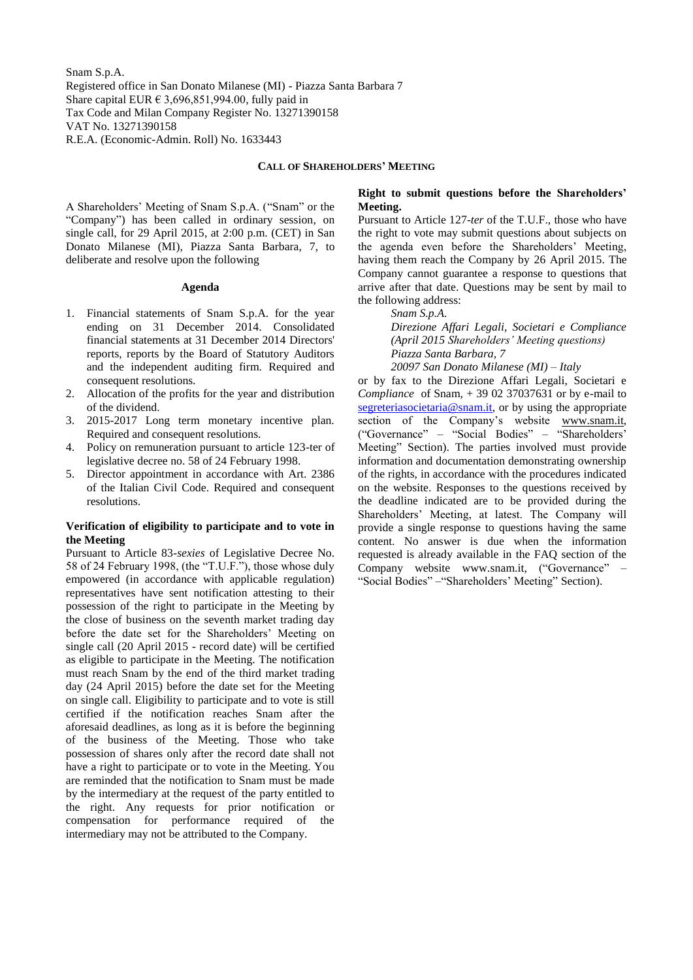Snam S.p.A. Registered office in San Donato Milanese (MI) - Piazza Santa Barbara 7 Share capital EUR  $\epsilon$  3,696,851,994.00, fully paid in Tax Code and Milan Company Register No. 13271390158 VAT No. 13271390158 R.E.A. (Economic-Admin. Roll) No. 1633443

#### **CALL OF SHAREHOLDERS' MEETING**

A Shareholders' Meeting of Snam S.p.A. ("Snam" or the "Company") has been called in ordinary session, on single call, for 29 April 2015, at 2:00 p.m. (CET) in San Donato Milanese (MI), Piazza Santa Barbara, 7, to deliberate and resolve upon the following

#### **Agenda**

- 1. Financial statements of Snam S.p.A. for the year ending on 31 December 2014. Consolidated financial statements at 31 December 2014 Directors' reports, reports by the Board of Statutory Auditors and the independent auditing firm. Required and consequent resolutions.
- 2. Allocation of the profits for the year and distribution of the dividend.
- 3. 2015-2017 Long term monetary incentive plan. Required and consequent resolutions.
- 4. Policy on remuneration pursuant to article 123-ter of legislative decree no. 58 of 24 February 1998.
- 5. Director appointment in accordance with Art. 2386 of the Italian Civil Code. Required and consequent resolutions.

#### **Verification of eligibility to participate and to vote in the Meeting**

Pursuant to Article 83-*sexies* of Legislative Decree No. 58 of 24 February 1998, (the "T.U.F."), those whose duly empowered (in accordance with applicable regulation) representatives have sent notification attesting to their possession of the right to participate in the Meeting by the close of business on the seventh market trading day before the date set for the Shareholders' Meeting on single call (20 April 2015 - record date) will be certified as eligible to participate in the Meeting. The notification must reach Snam by the end of the third market trading day (24 April 2015) before the date set for the Meeting on single call. Eligibility to participate and to vote is still certified if the notification reaches Snam after the aforesaid deadlines, as long as it is before the beginning of the business of the Meeting. Those who take possession of shares only after the record date shall not have a right to participate or to vote in the Meeting. You are reminded that the notification to Snam must be made by the intermediary at the request of the party entitled to the right. Any requests for prior notification or compensation for performance required of the intermediary may not be attributed to the Company.

### **Right to submit questions before the Shareholders' Meeting.**

Pursuant to Article 127-*ter* of the T.U.F., those who have the right to vote may submit questions about subjects on the agenda even before the Shareholders' Meeting, having them reach the Company by 26 April 2015. The Company cannot guarantee a response to questions that arrive after that date. Questions may be sent by mail to the following address:

*Snam S.p.A.*

*Direzione Affari Legali, Societari e Compliance (April 2015 Shareholders' Meeting questions) Piazza Santa Barbara, 7 20097 San Donato Milanese (MI) – Italy*

or by fax to the Direzione Affari Legali, Societari e *Compliance* of Snam, + 39 02 37037631 or by e-mail to [segreteriasocietaria@snam.it,](mailto:segreteriasocietaria@snam.it) or by using the appropriate section of the Company's website [www.snam.it,](http://www.snam.it/) ("Governance" – "Social Bodies" – "Shareholders' Meeting" Section). The parties involved must provide information and documentation demonstrating ownership of the rights, in accordance with the procedures indicated on the website. Responses to the questions received by the deadline indicated are to be provided during the Shareholders' Meeting, at latest. The Company will provide a single response to questions having the same content. No answer is due when the information requested is already available in the FAQ section of the Company website [www.snam.it,](http://www.snam.it/) ("Governance" – "Social Bodies" –"Shareholders' Meeting" Section).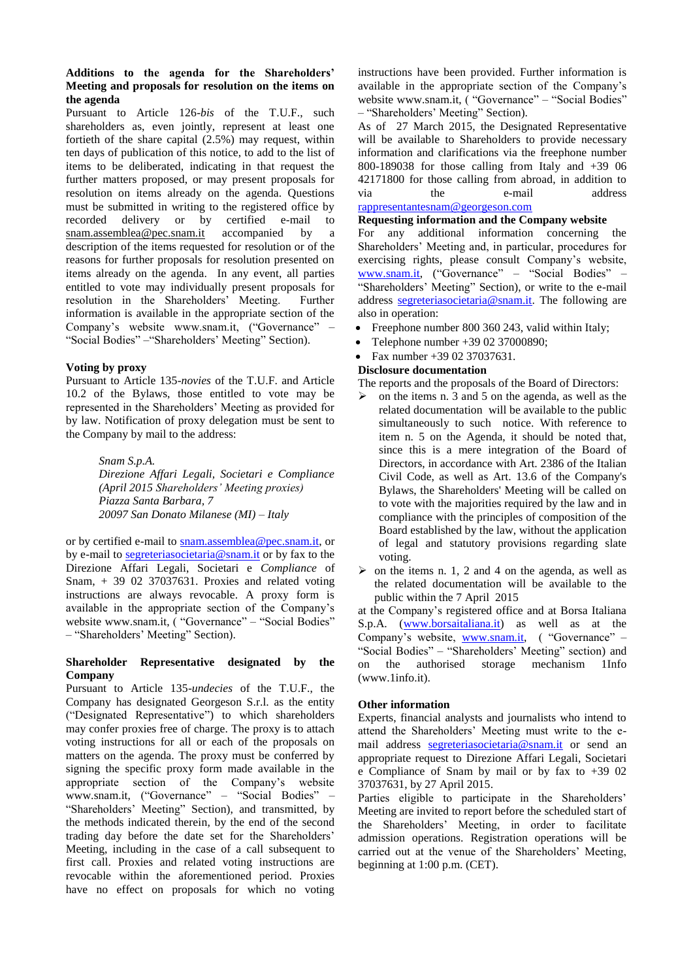## **Additions to the agenda for the Shareholders' Meeting and proposals for resolution on the items on the agenda**

Pursuant to Article 126-*bis* of the T.U.F., such shareholders as, even jointly, represent at least one fortieth of the share capital (2.5%) may request, within ten days of publication of this notice, to add to the list of items to be deliberated, indicating in that request the further matters proposed, or may present proposals for resolution on items already on the agenda. Questions must be submitted in writing to the registered office by recorded delivery or by certified e-mail to [snam.assemblea@pec.snam.it](mailto:snam.assemblea@pec.snam.it) accompanied by a description of the items requested for resolution or of the reasons for further proposals for resolution presented on items already on the agenda. In any event, all parties entitled to vote may individually present proposals for resolution in the Shareholders' Meeting. Further information is available in the appropriate section of the Company's website www.snam.it, ("Governance" – "Social Bodies" –"Shareholders' Meeting" Section).

## **Voting by proxy**

Pursuant to Article 135-*novies* of the T.U.F. and Article 10.2 of the Bylaws, those entitled to vote may be represented in the Shareholders' Meeting as provided for by law. Notification of proxy delegation must be sent to the Company by mail to the address:

> *Snam S.p.A. Direzione Affari Legali, Societari e Compliance (April 2015 Shareholders' Meeting proxies) Piazza Santa Barbara, 7 20097 San Donato Milanese (MI) – Italy*

or by certified e-mail to [snam.assemblea@pec.snam.it,](mailto:snam.assemblea@pec.snam.it) or by e-mail to [segreteriasocietaria@snam.it](mailto:segreteriasocietaria@snam.it) or by fax to the Direzione Affari Legali, Societari e *Compliance* of Snam, + 39 02 37037631. Proxies and related voting instructions are always revocable. A proxy form is available in the appropriate section of the Company's website [www.snam.it,](http://www.snam.it/) ("Governance" – "Social Bodies" – "Shareholders' Meeting" Section).

#### **Shareholder Representative designated by the Company**

Pursuant to Article 135-*undecies* of the T.U.F., the Company has designated Georgeson S.r.l. as the entity ("Designated Representative") to which shareholders may confer proxies free of charge. The proxy is to attach voting instructions for all or each of the proposals on matters on the agenda. The proxy must be conferred by signing the specific proxy form made available in the appropriate section of the Company's website [www.snam.it,](http://www.snam.it/) ("Governance" – "Social Bodies" – "Shareholders' Meeting" Section), and transmitted, by the methods indicated therein, by the end of the second trading day before the date set for the Shareholders' Meeting, including in the case of a call subsequent to first call. Proxies and related voting instructions are revocable within the aforementioned period. Proxies have no effect on proposals for which no voting

instructions have been provided. Further information is available in the appropriate section of the Company's website [www.snam.it,](http://www.snam.it/) ("Governance" – "Social Bodies" – "Shareholders' Meeting" Section).

As of 27 March 2015, the Designated Representative will be available to Shareholders to provide necessary information and clarifications via the freephone number 800-189038 for those calling from Italy and  $+39$  06 42171800 for those calling from abroad, in addition to via the e-mail address [rappresentantesnam@georgeson.com](mailto:rappresentantesnam@georgeson.com)

#### **Requesting information and the Company website**

For any additional information concerning the Shareholders' Meeting and, in particular, procedures for exercising rights, please consult Company's website, [www.snam.it,](http://www.snam.it/) ("Governance" – "Social Bodies" – "Shareholders' Meeting" Section), or write to the e-mail address [segreteriasocietaria@snam.it.](mailto:segreteriasocietaria@snam.it) The following are also in operation:

- Freephone number 800 360 243, valid within Italy;
- Telephone number +39 02 37000890;
- Fax number +39 02 37037631.

# **Disclosure documentation**

The reports and the proposals of the Board of Directors:

- $\triangleright$  on the items n. 3 and 5 on the agenda, as well as the related documentation will be available to the public simultaneously to such notice. With reference to item n. 5 on the Agenda, it should be noted that, since this is a mere integration of the Board of Directors, in accordance with Art. 2386 of the Italian Civil Code, as well as Art. 13.6 of the Company's Bylaws, the Shareholders' Meeting will be called on to vote with the majorities required by the law and in compliance with the principles of composition of the Board established by the law, without the application of legal and statutory provisions regarding slate voting.
- $\triangleright$  on the items n. 1, 2 and 4 on the agenda, as well as the related documentation will be available to the public within the 7 April 2015

at the Company's registered office and at Borsa Italiana S.p.A. [\(www.borsaitaliana.it\)](http://www.borsaitaliana.it/) as well as at the Company's website, [www.snam.it,](http://www.snam.it/) ( "Governance" – "Social Bodies" – "Shareholders' Meeting" section) and on the authorised storage mechanism 1Info (www.1info.it).

## **Other information**

Experts, financial analysts and journalists who intend to attend the Shareholders' Meeting must write to the email address [segreteriasocietaria@snam.it](mailto:segreteriasocietaria@snam.it) or send an appropriate request to Direzione Affari Legali, Societari e Compliance of Snam by mail or by fax to +39 02 37037631, by 27 April 2015.

Parties eligible to participate in the Shareholders' Meeting are invited to report before the scheduled start of the Shareholders' Meeting, in order to facilitate admission operations. Registration operations will be carried out at the venue of the Shareholders' Meeting, beginning at 1:00 p.m. (CET).